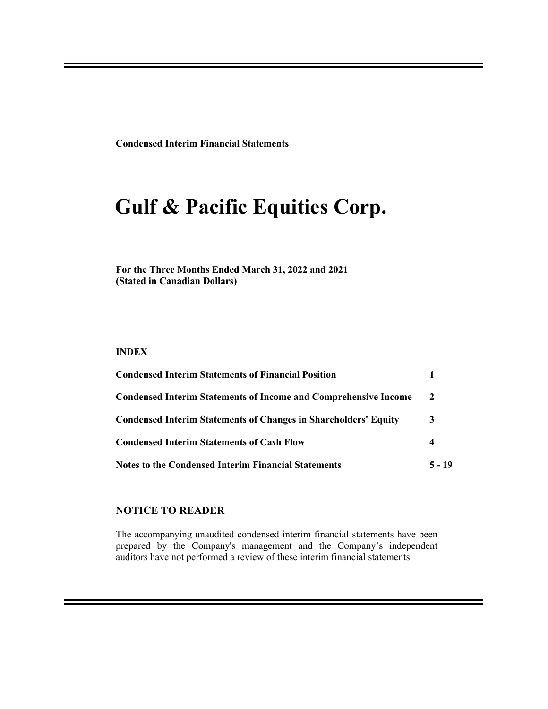**Condensed Interim Financial Statements**

# **Gulf & Pacific Equities Corp.**

**For the Three Months Ended March 31, 2022 and 2021 (Stated in Canadian Dollars)**

#### **INDEX**

| <b>Condensed Interim Statements of Financial Position</b>              |              |
|------------------------------------------------------------------------|--------------|
| <b>Condensed Interim Statements of Income and Comprehensive Income</b> | <sup>2</sup> |
| <b>Condensed Interim Statements of Changes in Shareholders' Equity</b> | 3            |
| <b>Condensed Interim Statements of Cash Flow</b>                       | 4            |
| <b>Notes to the Condensed Interim Financial Statements</b>             | 5 - 19       |

#### **NOTICE TO READER**

The accompanying unaudited condensed interim financial statements have been prepared by the Company's management and the Company's independent auditors have not performed a review of these interim financial statements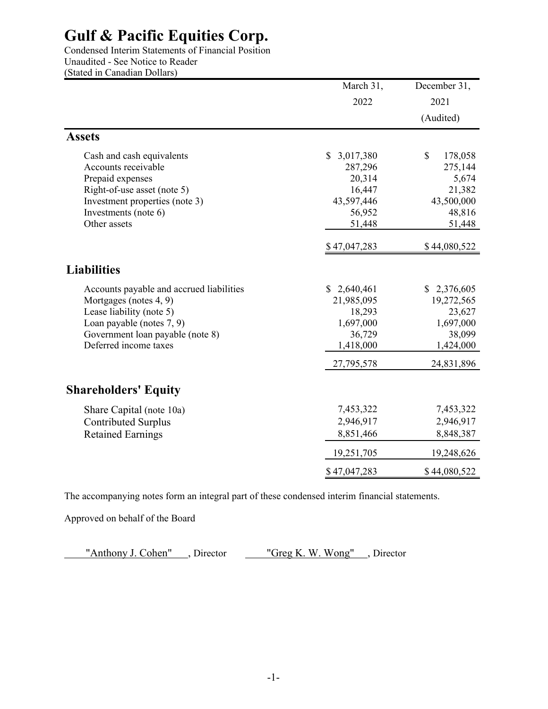Condensed Interim Statements of Financial Position Unaudited - See Notice to Reader (Stated in Canadian Dollars)

|                                          | March 31,                 | December 31,  |
|------------------------------------------|---------------------------|---------------|
|                                          | 2022                      | 2021          |
|                                          |                           | (Audited)     |
| <b>Assets</b>                            |                           |               |
| Cash and cash equivalents                | $\mathbb{S}$<br>3,017,380 | \$<br>178,058 |
| Accounts receivable                      | 287,296                   | 275,144       |
| Prepaid expenses                         | 20,314                    | 5,674         |
| Right-of-use asset (note 5)              | 16,447                    | 21,382        |
| Investment properties (note 3)           | 43,597,446                | 43,500,000    |
| Investments (note 6)                     | 56,952                    | 48,816        |
| Other assets                             | 51,448                    | 51,448        |
|                                          | \$47,047,283              | \$44,080,522  |
| <b>Liabilities</b>                       |                           |               |
| Accounts payable and accrued liabilities | \$2,640,461               | \$2,376,605   |
| Mortgages (notes 4, 9)                   | 21,985,095                | 19,272,565    |
| Lease liability (note 5)                 | 18,293                    | 23,627        |
| Loan payable (notes 7, 9)                | 1,697,000                 | 1,697,000     |
| Government loan payable (note 8)         | 36,729                    | 38,099        |
| Deferred income taxes                    | 1,418,000                 | 1,424,000     |
|                                          | 27,795,578                | 24,831,896    |
| <b>Shareholders' Equity</b>              |                           |               |
| Share Capital (note 10a)                 | 7,453,322                 | 7,453,322     |
| <b>Contributed Surplus</b>               | 2,946,917                 | 2,946,917     |
| <b>Retained Earnings</b>                 | 8,851,466                 | 8,848,387     |
|                                          | 19,251,705                | 19,248,626    |
|                                          | \$47,047,283              | \$44,080,522  |
|                                          |                           |               |

The accompanying notes form an integral part of these condensed interim financial statements.

Approved on behalf of the Board

"Anthony J. Cohen", Director "Greg K. W. Wong", Director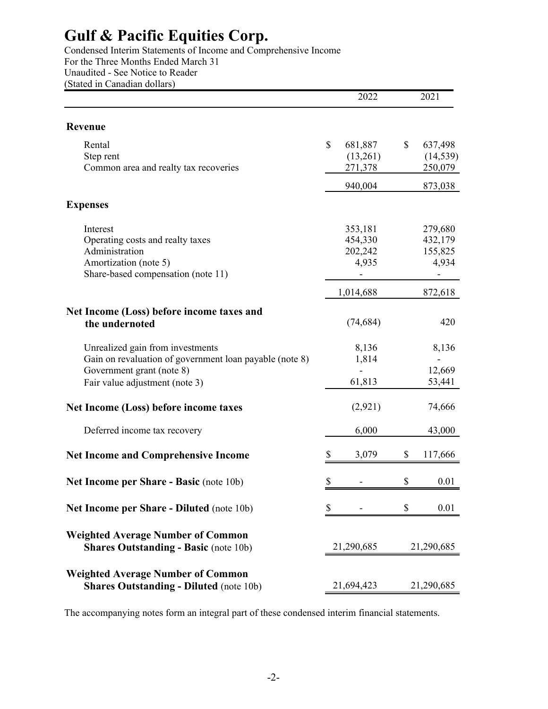Condensed Interim Statements of Income and Comprehensive Income For the Three Months Ended March 31 Unaudited - See Notice to Reader (Stated in Canadian dollars)

|                                                                                            |              | 2022       | 2021          |
|--------------------------------------------------------------------------------------------|--------------|------------|---------------|
| <b>Revenue</b>                                                                             |              |            |               |
| Rental                                                                                     | $\mathbb{S}$ | 681,887    | \$<br>637,498 |
| Step rent                                                                                  |              | (13,261)   | (14, 539)     |
| Common area and realty tax recoveries                                                      |              | 271,378    | 250,079       |
|                                                                                            |              | 940,004    | 873,038       |
| <b>Expenses</b>                                                                            |              |            |               |
| Interest                                                                                   |              | 353,181    | 279,680       |
| Operating costs and realty taxes                                                           |              | 454,330    | 432,179       |
| Administration                                                                             |              | 202,242    | 155,825       |
| Amortization (note 5)                                                                      |              | 4,935      | 4,934         |
| Share-based compensation (note 11)                                                         |              |            |               |
|                                                                                            |              | 1,014,688  | 872,618       |
| Net Income (Loss) before income taxes and                                                  |              |            |               |
| the undernoted                                                                             |              | (74, 684)  | 420           |
|                                                                                            |              |            |               |
| Unrealized gain from investments                                                           |              | 8,136      | 8,136         |
| Gain on revaluation of government loan payable (note 8)                                    |              | 1,814      |               |
| Government grant (note 8)                                                                  |              |            | 12,669        |
| Fair value adjustment (note 3)                                                             |              | 61,813     | 53,441        |
| Net Income (Loss) before income taxes                                                      |              | (2,921)    | 74,666        |
| Deferred income tax recovery                                                               |              | 6,000      | 43,000        |
| <b>Net Income and Comprehensive Income</b>                                                 | \$           | 3,079      | \$<br>117,666 |
| <b>Net Income per Share - Basic (note 10b)</b>                                             | \$           |            | \$<br>0.01    |
|                                                                                            |              |            |               |
| Net Income per Share - Diluted (note 10b)                                                  | \$           |            | \$<br>0.01    |
| <b>Weighted Average Number of Common</b><br><b>Shares Outstanding - Basic (note 10b)</b>   |              | 21,290,685 | 21,290,685    |
|                                                                                            |              |            |               |
| <b>Weighted Average Number of Common</b><br><b>Shares Outstanding - Diluted (note 10b)</b> |              | 21,694,423 | 21,290,685    |
|                                                                                            |              |            |               |

The accompanying notes form an integral part of these condensed interim financial statements.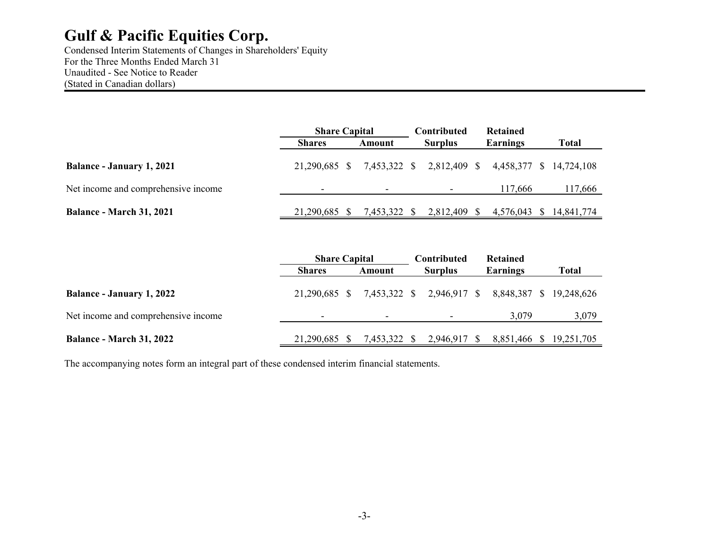Condensed Interim Statements of Changes in Shareholders' Equity For the Three Months Ended March 31 Unaudited - See Notice to Reader (Stated in Canadian dollars)

|                                     | <b>Share Capital</b> |              | Contributed                                       | <b>Retained</b> |                         |
|-------------------------------------|----------------------|--------------|---------------------------------------------------|-----------------|-------------------------|
|                                     | <b>Shares</b>        | Amount       | <b>Surplus</b>                                    | Earnings        | <b>Total</b>            |
| <b>Balance - January 1, 2021</b>    | 21,290,685 \$        |              | 7,453,322 \$ 2,812,409 \$ 4,458,377 \$ 14,724,108 |                 |                         |
| Net income and comprehensive income |                      |              |                                                   | 117.666         | 117,666                 |
| <b>Balance - March 31, 2021</b>     | 21,290,685 \$        | 7,453,322 \$ | 2,812,409 \$                                      |                 | 4,576,043 \$ 14,841,774 |

|                                     | <b>Share Capital</b> |                          | <b>Contributed</b>                                | <b>Retained</b>         |       |
|-------------------------------------|----------------------|--------------------------|---------------------------------------------------|-------------------------|-------|
|                                     | <b>Shares</b>        | Amount                   | <b>Surplus</b>                                    | Earnings                | Total |
| <b>Balance - January 1, 2022</b>    | 21.290.685 \$        |                          | 7,453,322 \$ 2,946,917 \$ 8,848,387 \$ 19,248,626 |                         |       |
| Net income and comprehensive income |                      | $\overline{\phantom{0}}$ |                                                   | 3,079                   | 3,079 |
| <b>Balance - March 31, 2022</b>     | 21,290,685 \$        | 7,453,322 \$             | 2,946,917 \$                                      | 8,851,466 \$ 19,251,705 |       |

The accompanying notes form an integral part of these condensed interim financial statements.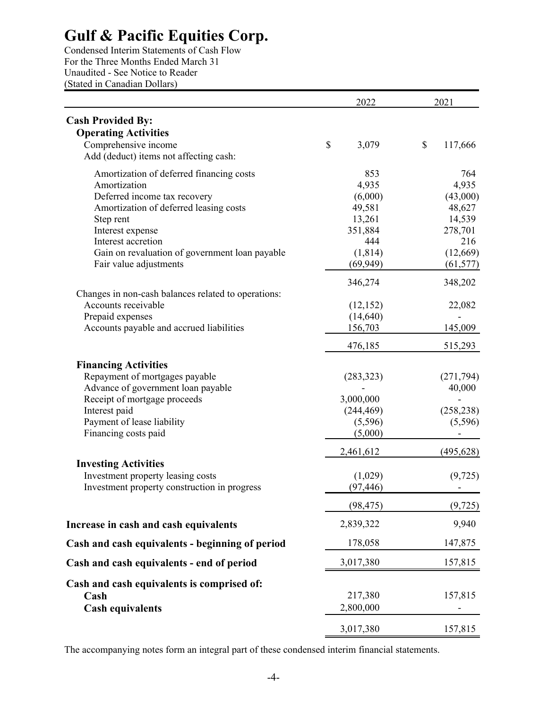Condensed Interim Statements of Cash Flow For the Three Months Ended March 31 Unaudited - See Notice to Reader (Stated in Canadian Dollars)

|                                                                                                                                                                                                                                                                       | 2022                                                                                              | 2021                                                                                               |
|-----------------------------------------------------------------------------------------------------------------------------------------------------------------------------------------------------------------------------------------------------------------------|---------------------------------------------------------------------------------------------------|----------------------------------------------------------------------------------------------------|
| <b>Cash Provided By:</b><br><b>Operating Activities</b><br>Comprehensive income<br>Add (deduct) items not affecting cash:                                                                                                                                             | \$<br>3,079                                                                                       | \$<br>117,666                                                                                      |
| Amortization of deferred financing costs<br>Amortization<br>Deferred income tax recovery<br>Amortization of deferred leasing costs<br>Step rent<br>Interest expense<br>Interest accretion<br>Gain on revaluation of government loan payable<br>Fair value adjustments | 853<br>4,935<br>(6,000)<br>49,581<br>13,261<br>351,884<br>444<br>(1, 814)<br>(69, 949)<br>346,274 | 764<br>4,935<br>(43,000)<br>48,627<br>14,539<br>278,701<br>216<br>(12,669)<br>(61, 577)<br>348,202 |
| Changes in non-cash balances related to operations:<br>Accounts receivable<br>Prepaid expenses<br>Accounts payable and accrued liabilities                                                                                                                            | (12, 152)<br>(14, 640)<br>156,703<br>476,185                                                      | 22,082<br>145,009<br>515,293                                                                       |
| <b>Financing Activities</b><br>Repayment of mortgages payable<br>Advance of government loan payable<br>Receipt of mortgage proceeds<br>Interest paid<br>Payment of lease liability<br>Financing costs paid                                                            | (283, 323)<br>3,000,000<br>(244, 469)<br>(5,596)<br>(5,000)                                       | (271, 794)<br>40,000<br>(258, 238)<br>(5,596)                                                      |
| <b>Investing Activities</b><br>Investment property leasing costs<br>Investment property construction in progress                                                                                                                                                      | 2,461,612<br>(1,029)<br>(97, 446)                                                                 | (495, 628)<br>(9, 725)                                                                             |
|                                                                                                                                                                                                                                                                       | (98, 475)                                                                                         | (9, 725)                                                                                           |
| Increase in cash and cash equivalents                                                                                                                                                                                                                                 | 2,839,322                                                                                         | 9,940                                                                                              |
| Cash and cash equivalents - beginning of period                                                                                                                                                                                                                       | 178,058                                                                                           | 147,875                                                                                            |
| Cash and cash equivalents - end of period                                                                                                                                                                                                                             | 3,017,380                                                                                         | 157,815                                                                                            |
| Cash and cash equivalents is comprised of:<br>Cash<br><b>Cash equivalents</b>                                                                                                                                                                                         | 217,380<br>2,800,000                                                                              | 157,815                                                                                            |
|                                                                                                                                                                                                                                                                       | 3,017,380                                                                                         | 157,815                                                                                            |

The accompanying notes form an integral part of these condensed interim financial statements.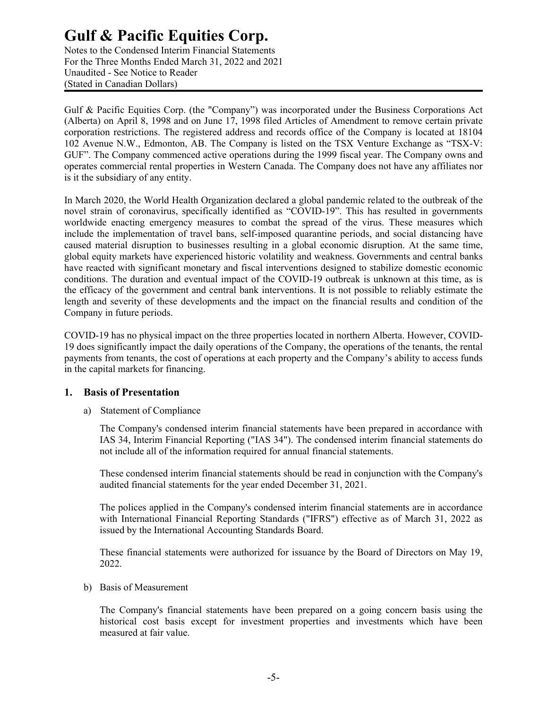Notes to the Condensed Interim Financial Statements For the Three Months Ended March 31, 2022 and 2021 Unaudited - See Notice to Reader (Stated in Canadian Dollars)

Gulf & Pacific Equities Corp. (the "Company") was incorporated under the Business Corporations Act (Alberta) on April 8, 1998 and on June 17, 1998 filed Articles of Amendment to remove certain private corporation restrictions. The registered address and records office of the Company is located at 18104 102 Avenue N.W., Edmonton, AB. The Company is listed on the TSX Venture Exchange as "TSX-V: GUF". The Company commenced active operations during the 1999 fiscal year. The Company owns and operates commercial rental properties in Western Canada. The Company does not have any affiliates nor is it the subsidiary of any entity.

In March 2020, the World Health Organization declared a global pandemic related to the outbreak of the novel strain of coronavirus, specifically identified as "COVID-19". This has resulted in governments worldwide enacting emergency measures to combat the spread of the virus. These measures which include the implementation of travel bans, self-imposed quarantine periods, and social distancing have caused material disruption to businesses resulting in a global economic disruption. At the same time, global equity markets have experienced historic volatility and weakness. Governments and central banks have reacted with significant monetary and fiscal interventions designed to stabilize domestic economic conditions. The duration and eventual impact of the COVID-19 outbreak is unknown at this time, as is the efficacy of the government and central bank interventions. It is not possible to reliably estimate the length and severity of these developments and the impact on the financial results and condition of the Company in future periods.

COVID-19 has no physical impact on the three properties located in northern Alberta. However, COVID-19 does significantly impact the daily operations of the Company, the operations of the tenants, the rental payments from tenants, the cost of operations at each property and the Company's ability to access funds in the capital markets for financing.

### **1. Basis of Presentation**

a) Statement of Compliance

The Company's condensed interim financial statements have been prepared in accordance with IAS 34, Interim Financial Reporting ("IAS 34"). The condensed interim financial statements do not include all of the information required for annual financial statements.

These condensed interim financial statements should be read in conjunction with the Company's audited financial statements for the year ended December 31, 2021.

The polices applied in the Company's condensed interim financial statements are in accordance with International Financial Reporting Standards ("IFRS") effective as of March 31, 2022 as issued by the International Accounting Standards Board.

These financial statements were authorized for issuance by the Board of Directors on May 19, 2022.

b) Basis of Measurement

The Company's financial statements have been prepared on a going concern basis using the historical cost basis except for investment properties and investments which have been measured at fair value.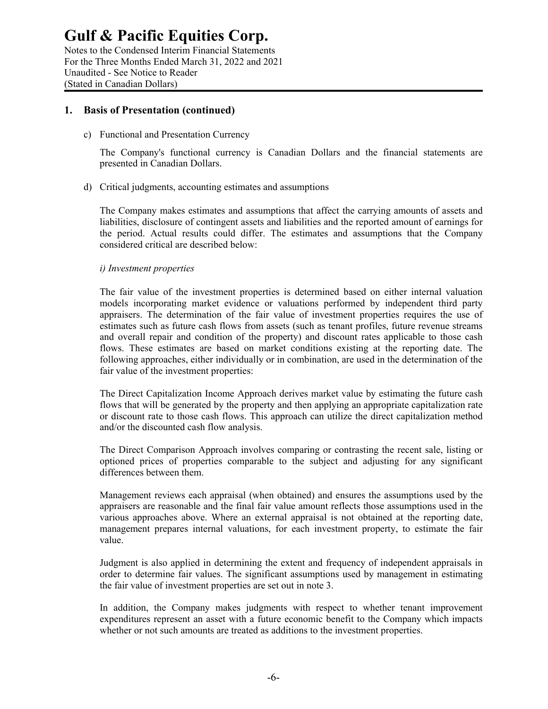Notes to the Condensed Interim Financial Statements For the Three Months Ended March 31, 2022 and 2021 Unaudited - See Notice to Reader (Stated in Canadian Dollars)

#### **1. Basis of Presentation (continued)**

c) Functional and Presentation Currency

The Company's functional currency is Canadian Dollars and the financial statements are presented in Canadian Dollars.

d) Critical judgments, accounting estimates and assumptions

The Company makes estimates and assumptions that affect the carrying amounts of assets and liabilities, disclosure of contingent assets and liabilities and the reported amount of earnings for the period. Actual results could differ. The estimates and assumptions that the Company considered critical are described below:

#### *i) Investment properties*

The fair value of the investment properties is determined based on either internal valuation models incorporating market evidence or valuations performed by independent third party appraisers. The determination of the fair value of investment properties requires the use of estimates such as future cash flows from assets (such as tenant profiles, future revenue streams and overall repair and condition of the property) and discount rates applicable to those cash flows. These estimates are based on market conditions existing at the reporting date. The following approaches, either individually or in combination, are used in the determination of the fair value of the investment properties:

The Direct Capitalization Income Approach derives market value by estimating the future cash flows that will be generated by the property and then applying an appropriate capitalization rate or discount rate to those cash flows. This approach can utilize the direct capitalization method and/or the discounted cash flow analysis.

The Direct Comparison Approach involves comparing or contrasting the recent sale, listing or optioned prices of properties comparable to the subject and adjusting for any significant differences between them.

Management reviews each appraisal (when obtained) and ensures the assumptions used by the appraisers are reasonable and the final fair value amount reflects those assumptions used in the various approaches above. Where an external appraisal is not obtained at the reporting date, management prepares internal valuations, for each investment property, to estimate the fair value.

Judgment is also applied in determining the extent and frequency of independent appraisals in order to determine fair values. The significant assumptions used by management in estimating the fair value of investment properties are set out in note 3.

In addition, the Company makes judgments with respect to whether tenant improvement expenditures represent an asset with a future economic benefit to the Company which impacts whether or not such amounts are treated as additions to the investment properties.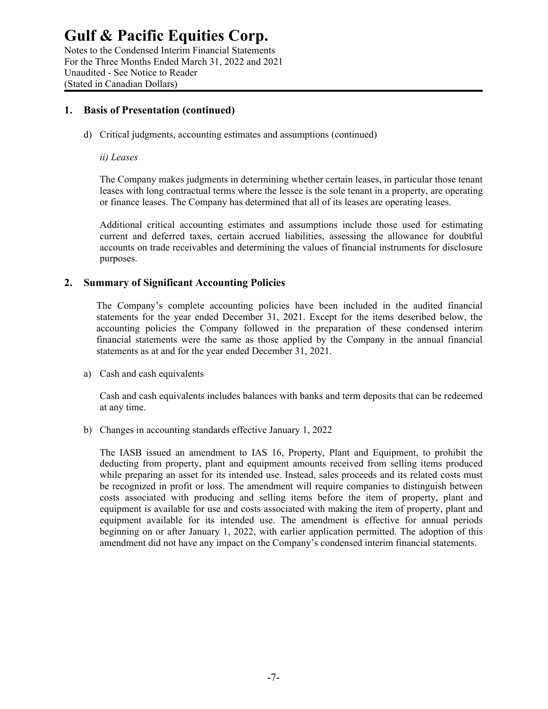Notes to the Condensed Interim Financial Statements For the Three Months Ended March 31, 2022 and 2021 Unaudited - See Notice to Reader (Stated in Canadian Dollars)

### **1. Basis of Presentation (continued)**

d) Critical judgments, accounting estimates and assumptions (continued)

#### *ii) Leases*

The Company makes judgments in determining whether certain leases, in particular those tenant leases with long contractual terms where the lessee is the sole tenant in a property, are operating or finance leases. The Company has determined that all of its leases are operating leases.

Additional critical accounting estimates and assumptions include those used for estimating current and deferred taxes, certain accrued liabilities, assessing the allowance for doubtful accounts on trade receivables and determining the values of financial instruments for disclosure purposes.

#### **2. Summary of Significant Accounting Policies**

The Company's complete accounting policies have been included in the audited financial statements for the year ended December 31, 2021. Except for the items described below, the accounting policies the Company followed in the preparation of these condensed interim financial statements were the same as those applied by the Company in the annual financial statements as at and for the year ended December 31, 2021.

a) Cash and cash equivalents

Cash and cash equivalents includes balances with banks and term deposits that can be redeemed at any time.

b) Changes in accounting standards effective January 1, 2022

The IASB issued an amendment to IAS 16, Property, Plant and Equipment, to prohibit the deducting from property, plant and equipment amounts received from selling items produced while preparing an asset for its intended use. Instead, sales proceeds and its related costs must be recognized in profit or loss. The amendment will require companies to distinguish between costs associated with producing and selling items before the item of property, plant and equipment is available for use and costs associated with making the item of property, plant and equipment available for its intended use. The amendment is effective for annual periods beginning on or after January 1, 2022, with earlier application permitted. The adoption of this amendment did not have any impact on the Company's condensed interim financial statements.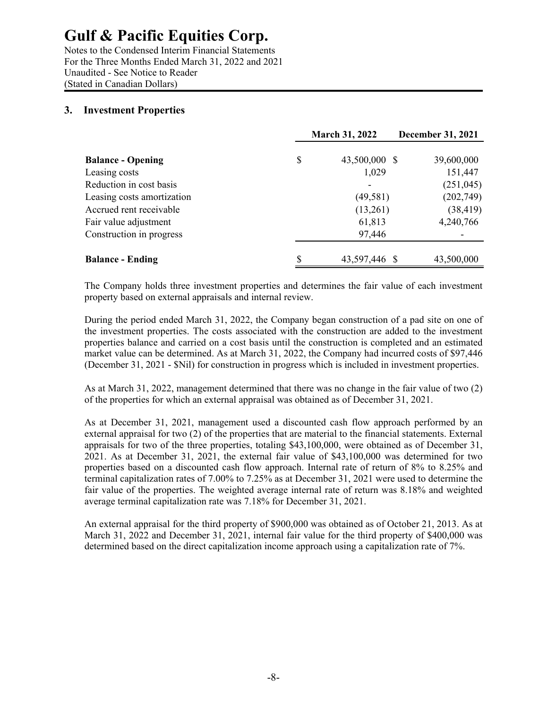Notes to the Condensed Interim Financial Statements For the Three Months Ended March 31, 2022 and 2021 Unaudited - See Notice to Reader (Stated in Canadian Dollars)

### **3. Investment Properties**

|                                           | <b>March 31, 2022</b>        | <b>December 31, 2021</b> |
|-------------------------------------------|------------------------------|--------------------------|
| <b>Balance - Opening</b><br>Leasing costs | \$<br>43,500,000 \$<br>1,029 | 39,600,000<br>151,447    |
| Reduction in cost basis                   |                              | (251, 045)               |
| Leasing costs amortization                | (49, 581)                    | (202,749)                |
| Accrued rent receivable                   | (13,261)                     | (38, 419)                |
| Fair value adjustment                     | 61,813                       | 4,240,766                |
| Construction in progress                  | 97,446                       |                          |
| <b>Balance - Ending</b>                   | \$<br>43,597,446 \$          | 43,500,000               |

The Company holds three investment properties and determines the fair value of each investment property based on external appraisals and internal review.

During the period ended March 31, 2022, the Company began construction of a pad site on one of the investment properties. The costs associated with the construction are added to the investment properties balance and carried on a cost basis until the construction is completed and an estimated market value can be determined. As at March 31, 2022, the Company had incurred costs of \$97,446 (December 31, 2021 - \$Nil) for construction in progress which is included in investment properties.

As at March 31, 2022, management determined that there was no change in the fair value of two (2) of the properties for which an external appraisal was obtained as of December 31, 2021.

As at December 31, 2021, management used a discounted cash flow approach performed by an external appraisal for two (2) of the properties that are material to the financial statements. External appraisals for two of the three properties, totaling \$43,100,000, were obtained as of December 31, 2021. As at December 31, 2021, the external fair value of \$43,100,000 was determined for two properties based on a discounted cash flow approach. Internal rate of return of 8% to 8.25% and terminal capitalization rates of 7.00% to 7.25% as at December 31, 2021 were used to determine the fair value of the properties. The weighted average internal rate of return was 8.18% and weighted average terminal capitalization rate was 7.18% for December 31, 2021.

An external appraisal for the third property of \$900,000 was obtained as of October 21, 2013. As at March 31, 2022 and December 31, 2021, internal fair value for the third property of \$400,000 was determined based on the direct capitalization income approach using a capitalization rate of 7%.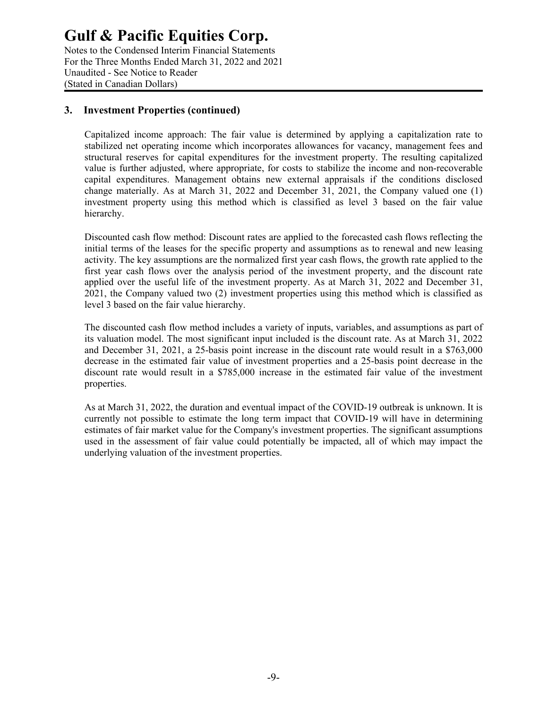Notes to the Condensed Interim Financial Statements For the Three Months Ended March 31, 2022 and 2021 Unaudited - See Notice to Reader (Stated in Canadian Dollars)

### **3. Investment Properties (continued)**

Capitalized income approach: The fair value is determined by applying a capitalization rate to stabilized net operating income which incorporates allowances for vacancy, management fees and structural reserves for capital expenditures for the investment property. The resulting capitalized value is further adjusted, where appropriate, for costs to stabilize the income and non-recoverable capital expenditures. Management obtains new external appraisals if the conditions disclosed change materially. As at March 31, 2022 and December 31, 2021, the Company valued one (1) investment property using this method which is classified as level 3 based on the fair value hierarchy.

Discounted cash flow method: Discount rates are applied to the forecasted cash flows reflecting the initial terms of the leases for the specific property and assumptions as to renewal and new leasing activity. The key assumptions are the normalized first year cash flows, the growth rate applied to the first year cash flows over the analysis period of the investment property, and the discount rate applied over the useful life of the investment property. As at March 31, 2022 and December 31, 2021, the Company valued two (2) investment properties using this method which is classified as level 3 based on the fair value hierarchy.

The discounted cash flow method includes a variety of inputs, variables, and assumptions as part of its valuation model. The most significant input included is the discount rate. As at March 31, 2022 and December 31, 2021, a 25-basis point increase in the discount rate would result in a \$763,000 decrease in the estimated fair value of investment properties and a 25-basis point decrease in the discount rate would result in a \$785,000 increase in the estimated fair value of the investment properties.

As at March 31, 2022, the duration and eventual impact of the COVID-19 outbreak is unknown. It is currently not possible to estimate the long term impact that COVID-19 will have in determining estimates of fair market value for the Company's investment properties. The significant assumptions used in the assessment of fair value could potentially be impacted, all of which may impact the underlying valuation of the investment properties.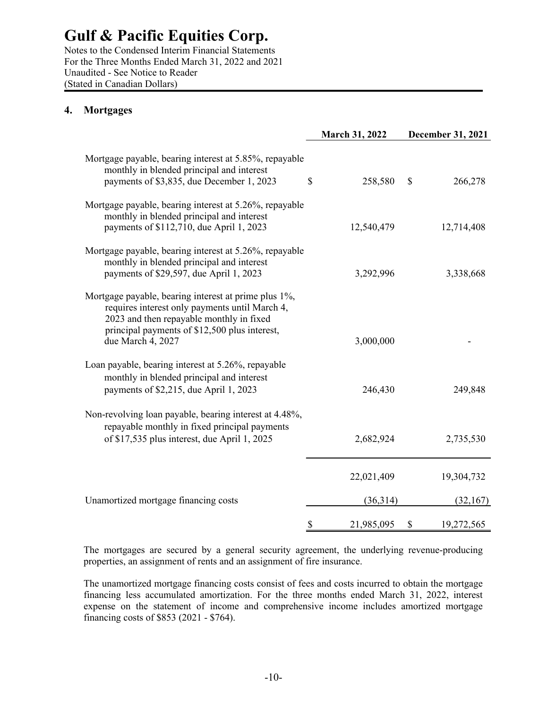Notes to the Condensed Interim Financial Statements For the Three Months Ended March 31, 2022 and 2021 Unaudited - See Notice to Reader (Stated in Canadian Dollars)

### **4. Mortgages**

|                                                                                                                                                                                                                          |               | <b>March 31, 2022</b> | December 31, 2021 |
|--------------------------------------------------------------------------------------------------------------------------------------------------------------------------------------------------------------------------|---------------|-----------------------|-------------------|
| Mortgage payable, bearing interest at 5.85%, repayable<br>monthly in blended principal and interest<br>payments of \$3,835, due December 1, 2023                                                                         | \$            | 258,580               | \$<br>266,278     |
| Mortgage payable, bearing interest at 5.26%, repayable<br>monthly in blended principal and interest<br>payments of \$112,710, due April 1, 2023                                                                          |               | 12,540,479            | 12,714,408        |
| Mortgage payable, bearing interest at 5.26%, repayable<br>monthly in blended principal and interest<br>payments of \$29,597, due April 1, 2023                                                                           |               | 3,292,996             | 3,338,668         |
| Mortgage payable, bearing interest at prime plus 1%,<br>requires interest only payments until March 4,<br>2023 and then repayable monthly in fixed<br>principal payments of \$12,500 plus interest,<br>due March 4, 2027 |               | 3,000,000             |                   |
| Loan payable, bearing interest at 5.26%, repayable<br>monthly in blended principal and interest<br>payments of \$2,215, due April 1, 2023                                                                                |               | 246,430               | 249,848           |
| Non-revolving loan payable, bearing interest at 4.48%,<br>repayable monthly in fixed principal payments<br>of \$17,535 plus interest, due April 1, 2025                                                                  |               | 2,682,924             | 2,735,530         |
|                                                                                                                                                                                                                          |               | 22,021,409            | 19,304,732        |
| Unamortized mortgage financing costs                                                                                                                                                                                     |               | (36,314)              | (32,167)          |
|                                                                                                                                                                                                                          | $\mathcal{S}$ | 21,985,095            | \$<br>19,272,565  |

The mortgages are secured by a general security agreement, the underlying revenue-producing properties, an assignment of rents and an assignment of fire insurance.

The unamortized mortgage financing costs consist of fees and costs incurred to obtain the mortgage financing less accumulated amortization. For the three months ended March 31, 2022, interest expense on the statement of income and comprehensive income includes amortized mortgage financing costs of \$853 (2021 - \$764).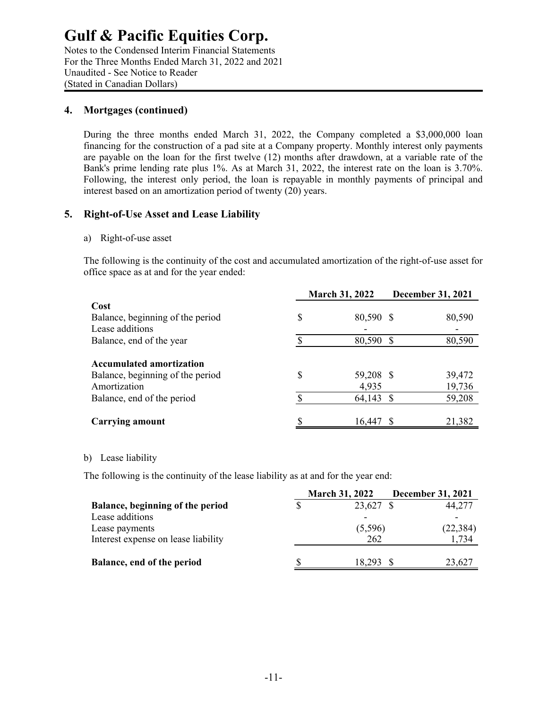Notes to the Condensed Interim Financial Statements For the Three Months Ended March 31, 2022 and 2021 Unaudited - See Notice to Reader (Stated in Canadian Dollars)

#### **4. Mortgages (continued)**

During the three months ended March 31, 2022, the Company completed a \$3,000,000 loan financing for the construction of a pad site at a Company property. Monthly interest only payments are payable on the loan for the first twelve (12) months after drawdown, at a variable rate of the Bank's prime lending rate plus 1%. As at March 31, 2022, the interest rate on the loan is 3.70%. Following, the interest only period, the loan is repayable in monthly payments of principal and interest based on an amortization period of twenty (20) years.

### **5. Right-of-Use Asset and Lease Liability**

#### a) Right-of-use asset

The following is the continuity of the cost and accumulated amortization of the right-of-use asset for office space as at and for the year ended:

|                                        | <b>March 31, 2022</b> | <b>December 31, 2021</b> |
|----------------------------------------|-----------------------|--------------------------|
| Cost                                   |                       |                          |
| Balance, beginning of the period<br>\$ | 80,590 \$             | 80,590                   |
| Lease additions                        |                       |                          |
| Balance, end of the year               | 80,590 \$             | 80,590                   |
| <b>Accumulated amortization</b>        |                       |                          |
| \$<br>Balance, beginning of the period | 59,208 \$             | 39,472                   |
| Amortization                           | 4,935                 | 19,736                   |
| S<br>Balance, end of the period        | 64,143 \$             | 59,208                   |
| Carrying amount                        | 16.447                | 21,382                   |

#### b) Lease liability

The following is the continuity of the lease liability as at and for the year end:

|                                     | <b>March 31, 2022</b> | <b>December 31, 2021</b> |  |
|-------------------------------------|-----------------------|--------------------------|--|
| Balance, beginning of the period    | 23,627 \$             | 44,277                   |  |
| Lease additions                     |                       |                          |  |
| Lease payments                      | (5,596)               | (22, 384)                |  |
| Interest expense on lease liability | 262                   | ,734                     |  |
| Balance, end of the period          | 18.293                | 23,627                   |  |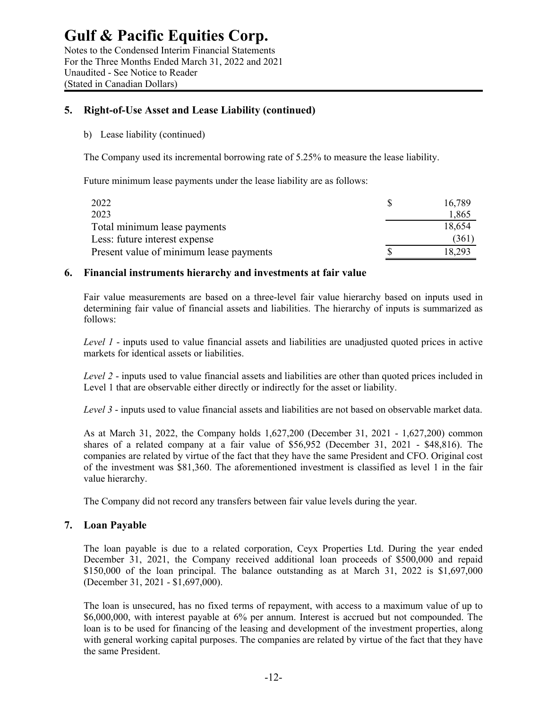Notes to the Condensed Interim Financial Statements For the Three Months Ended March 31, 2022 and 2021 Unaudited - See Notice to Reader (Stated in Canadian Dollars)

### **5. Right-of-Use Asset and Lease Liability (continued)**

b) Lease liability (continued)

The Company used its incremental borrowing rate of 5.25% to measure the lease liability.

Future minimum lease payments under the lease liability are as follows:

| 2022                                    | 16.789 |
|-----------------------------------------|--------|
| 2023                                    | 1,865  |
| Total minimum lease payments            | 18.654 |
| Less: future interest expense           | (361)  |
| Present value of minimum lease payments | 18.293 |

### **6. Financial instruments hierarchy and investments at fair value**

Fair value measurements are based on a three-level fair value hierarchy based on inputs used in determining fair value of financial assets and liabilities. The hierarchy of inputs is summarized as follows:

*Level 1* - inputs used to value financial assets and liabilities are unadjusted quoted prices in active markets for identical assets or liabilities.

*Level 2* - inputs used to value financial assets and liabilities are other than quoted prices included in Level 1 that are observable either directly or indirectly for the asset or liability.

*Level 3* - inputs used to value financial assets and liabilities are not based on observable market data.

As at March 31, 2022, the Company holds 1,627,200 (December 31, 2021 - 1,627,200) common shares of a related company at a fair value of \$56,952 (December 31, 2021 - \$48,816). The companies are related by virtue of the fact that they have the same President and CFO. Original cost of the investment was \$81,360. The aforementioned investment is classified as level 1 in the fair value hierarchy.

The Company did not record any transfers between fair value levels during the year.

### **7. Loan Payable**

The loan payable is due to a related corporation, Ceyx Properties Ltd. During the year ended December 31, 2021, the Company received additional loan proceeds of \$500,000 and repaid \$150,000 of the loan principal. The balance outstanding as at March 31, 2022 is \$1,697,000 (December 31, 2021 - \$1,697,000).

The loan is unsecured, has no fixed terms of repayment, with access to a maximum value of up to \$6,000,000, with interest payable at 6% per annum. Interest is accrued but not compounded. The loan is to be used for financing of the leasing and development of the investment properties, along with general working capital purposes. The companies are related by virtue of the fact that they have the same President.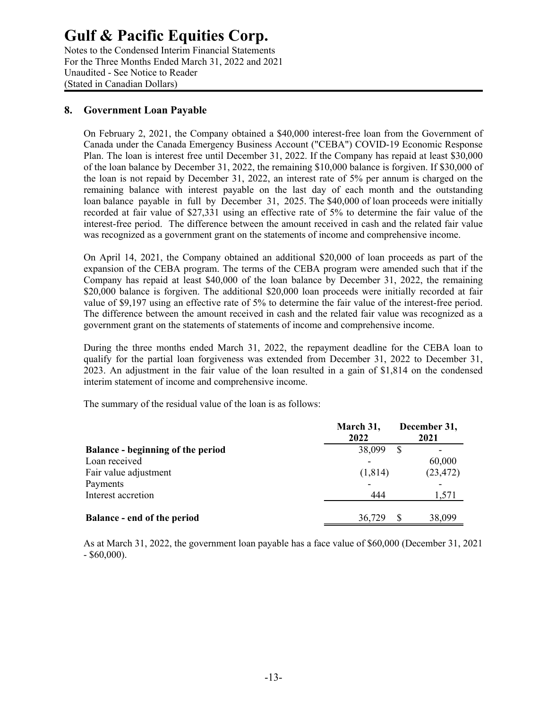Notes to the Condensed Interim Financial Statements For the Three Months Ended March 31, 2022 and 2021 Unaudited - See Notice to Reader (Stated in Canadian Dollars)

### **8. Government Loan Payable**

On February 2, 2021, the Company obtained a \$40,000 interest-free loan from the Government of Canada under the Canada Emergency Business Account ("CEBA") COVID-19 Economic Response Plan. The loan is interest free until December 31, 2022. If the Company has repaid at least \$30,000 of the loan balance by December 31, 2022, the remaining \$10,000 balance is forgiven. If \$30,000 of the loan is not repaid by December 31, 2022, an interest rate of 5% per annum is charged on the remaining balance with interest payable on the last day of each month and the outstanding loan balance payable in full by December 31, 2025. The \$40,000 of loan proceeds were initially recorded at fair value of \$27,331 using an effective rate of 5% to determine the fair value of the interest-free period. The difference between the amount received in cash and the related fair value was recognized as a government grant on the statements of income and comprehensive income.

On April 14, 2021, the Company obtained an additional \$20,000 of loan proceeds as part of the expansion of the CEBA program. The terms of the CEBA program were amended such that if the Company has repaid at least \$40,000 of the loan balance by December 31, 2022, the remaining \$20,000 balance is forgiven. The additional \$20,000 loan proceeds were initially recorded at fair value of \$9,197 using an effective rate of 5% to determine the fair value of the interest-free period. The difference between the amount received in cash and the related fair value was recognized as a government grant on the statements of statements of income and comprehensive income.

During the three months ended March 31, 2022, the repayment deadline for the CEBA loan to qualify for the partial loan forgiveness was extended from December 31, 2022 to December 31, 2023. An adjustment in the fair value of the loan resulted in a gain of \$1,814 on the condensed interim statement of income and comprehensive income.

The summary of the residual value of the loan is as follows:

|                                          | March 31,<br>2022 | December 31,<br>2021 |
|------------------------------------------|-------------------|----------------------|
| <b>Balance - beginning of the period</b> | 38,099            | S                    |
| Loan received                            |                   | 60,000               |
| Fair value adjustment                    | (1,814)           | (23, 472)            |
| Payments                                 |                   |                      |
| Interest accretion                       | 444               | 1,571                |
| <b>Balance - end of the period</b>       | 36,729            | 38,099               |

As at March 31, 2022, the government loan payable has a face value of \$60,000 (December 31, 2021  $-$  \$60,000).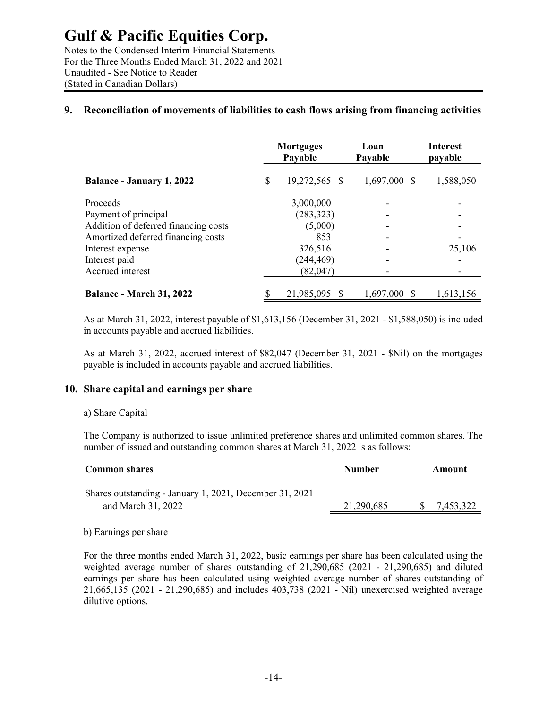Notes to the Condensed Interim Financial Statements For the Three Months Ended March 31, 2022 and 2021 Unaudited - See Notice to Reader (Stated in Canadian Dollars)

### **9. Reconciliation of movements of liabilities to cash flows arising from financing activities**

|                                      | <b>Mortgages</b><br>Payable |               | Loan<br>Payable | Interest<br>payable      |  |
|--------------------------------------|-----------------------------|---------------|-----------------|--------------------------|--|
| <b>Balance - January 1, 2022</b>     | \$                          | 19,272,565 \$ | $1,697,000$ \$  | 1,588,050                |  |
| Proceeds                             |                             | 3,000,000     |                 |                          |  |
| Payment of principal                 |                             | (283, 323)    |                 |                          |  |
| Addition of deferred financing costs |                             | (5,000)       |                 | $\overline{\phantom{a}}$ |  |
| Amortized deferred financing costs   |                             | 853           |                 | -                        |  |
| Interest expense                     |                             | 326,516       |                 | 25,106                   |  |
| Interest paid                        |                             | (244, 469)    |                 |                          |  |
| Accrued interest                     |                             | (82,047)      |                 |                          |  |
| <b>Balance - March 31, 2022</b>      | \$                          | 21,985,095 \$ | 1,697,000 \$    | 1,613,156                |  |

As at March 31, 2022, interest payable of \$1,613,156 (December 31, 2021 - \$1,588,050) is included in accounts payable and accrued liabilities.

As at March 31, 2022, accrued interest of \$82,047 (December 31, 2021 - \$Nil) on the mortgages payable is included in accounts payable and accrued liabilities.

#### **10. Share capital and earnings per share**

#### a) Share Capital

The Company is authorized to issue unlimited preference shares and unlimited common shares. The number of issued and outstanding common shares at March 31, 2022 is as follows:

| <b>Common shares</b>                                                          | <b>Number</b> | Amount    |
|-------------------------------------------------------------------------------|---------------|-----------|
| Shares outstanding - January 1, 2021, December 31, 2021<br>and March 31, 2022 | 21,290,685    | 7,453,322 |

b) Earnings per share

For the three months ended March 31, 2022, basic earnings per share has been calculated using the weighted average number of shares outstanding of 21,290,685 (2021 - 21,290,685) and diluted earnings per share has been calculated using weighted average number of shares outstanding of 21,665,135 (2021 - 21,290,685) and includes 403,738 (2021 - Nil) unexercised weighted average dilutive options.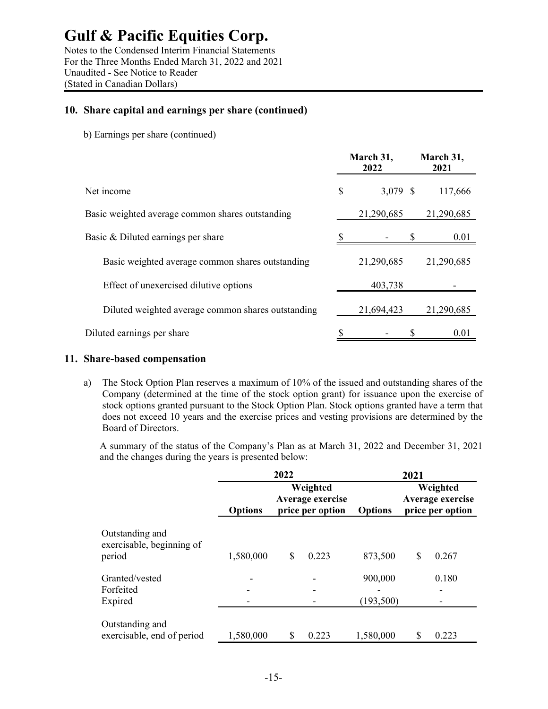Notes to the Condensed Interim Financial Statements For the Three Months Ended March 31, 2022 and 2021 Unaudited - See Notice to Reader (Stated in Canadian Dollars)

#### **10. Share capital and earnings per share (continued)**

b) Earnings per share (continued)

|                                                    |    | March 31,<br>2022 | March 31,<br>2021 |
|----------------------------------------------------|----|-------------------|-------------------|
| Net income                                         | \$ | 3,079 \$          | 117,666           |
| Basic weighted average common shares outstanding   |    | 21,290,685        | 21,290,685        |
| Basic & Diluted earnings per share                 |    |                   | 0.01              |
| Basic weighted average common shares outstanding   |    | 21,290,685        | 21,290,685        |
| Effect of unexercised dilutive options             |    | 403,738           |                   |
| Diluted weighted average common shares outstanding |    | 21,694,423        | 21,290,685        |
| Diluted earnings per share                         |    |                   | 0.01              |

#### **11. Share-based compensation**

a) The Stock Option Plan reserves a maximum of 10% of the issued and outstanding shares of the Company (determined at the time of the stock option grant) for issuance upon the exercise of stock options granted pursuant to the Stock Option Plan. Stock options granted have a term that does not exceed 10 years and the exercise prices and vesting provisions are determined by the Board of Directors.

A summary of the status of the Company's Plan as at March 31, 2022 and December 31, 2021 and the changes during the years is presented below:

|                                                        | 2022           |    |                                                  | 2021                  |   |                                                  |  |
|--------------------------------------------------------|----------------|----|--------------------------------------------------|-----------------------|---|--------------------------------------------------|--|
|                                                        | <b>Options</b> |    | Weighted<br>Average exercise<br>price per option | <b>Options</b>        |   | Weighted<br>Average exercise<br>price per option |  |
| Outstanding and<br>exercisable, beginning of<br>period | 1,580,000      | \$ | 0.223                                            | 873,500               | S | 0.267                                            |  |
| Granted/vested<br>Forfeited<br>Expired                 |                |    |                                                  | 900,000<br>(193, 500) |   | 0.180                                            |  |
| Outstanding and<br>exercisable, end of period          | 1,580,000      | \$ | 0.223                                            | 1,580,000             |   | 0.223                                            |  |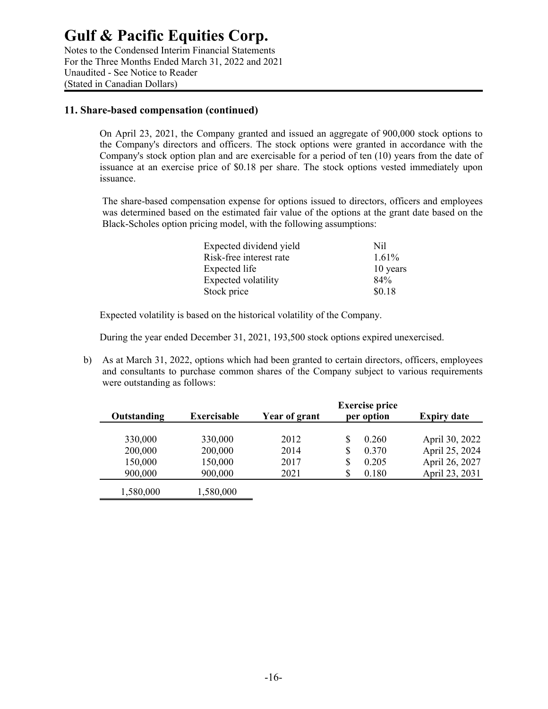Notes to the Condensed Interim Financial Statements For the Three Months Ended March 31, 2022 and 2021 Unaudited - See Notice to Reader (Stated in Canadian Dollars)

#### **11. Share-based compensation (continued)**

On April 23, 2021, the Company granted and issued an aggregate of 900,000 stock options to the Company's directors and officers. The stock options were granted in accordance with the Company's stock option plan and are exercisable for a period of ten (10) years from the date of issuance at an exercise price of \$0.18 per share. The stock options vested immediately upon issuance.

The share-based compensation expense for options issued to directors, officers and employees was determined based on the estimated fair value of the options at the grant date based on the Black-Scholes option pricing model, with the following assumptions:

| Expected dividend yield | Nil      |
|-------------------------|----------|
| Risk-free interest rate | $1.61\%$ |
| Expected life           | 10 years |
| Expected volatility     | 84%      |
| Stock price             | \$0.18   |

Expected volatility is based on the historical volatility of the Company.

During the year ended December 31, 2021, 193,500 stock options expired unexercised.

b) As at March 31, 2022, options which had been granted to certain directors, officers, employees and consultants to purchase common shares of the Company subject to various requirements were outstanding as follows:

| Outstanding | <b>Exercisable</b> | Year of grant | <b>Exercise price</b><br>per option | <b>Expiry date</b> |
|-------------|--------------------|---------------|-------------------------------------|--------------------|
| 330,000     | 330,000            | 2012          | \$<br>0.260                         | April 30, 2022     |
| 200,000     | 200,000            | 2014          | \$<br>0.370                         | April 25, 2024     |
| 150,000     | 150,000            | 2017          | \$<br>0.205                         | April 26, 2027     |
| 900,000     | 900,000            | 2021          | \$<br>0.180                         | April 23, 2031     |
| 1,580,000   | 1,580,000          |               |                                     |                    |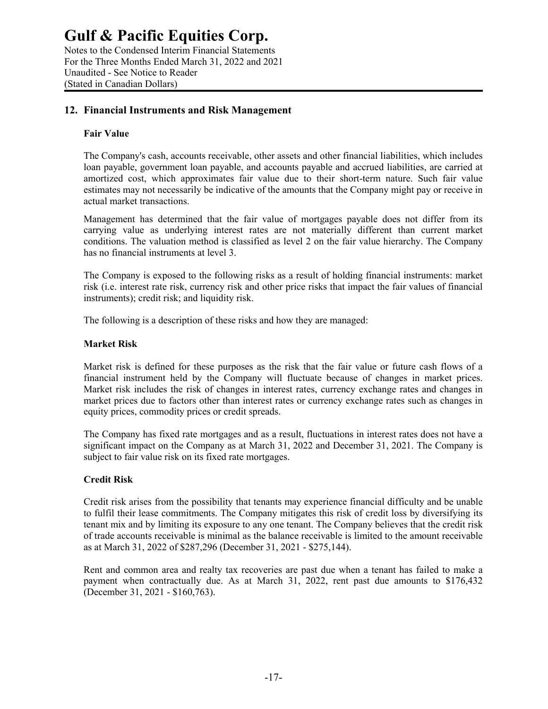Notes to the Condensed Interim Financial Statements For the Three Months Ended March 31, 2022 and 2021 Unaudited - See Notice to Reader (Stated in Canadian Dollars)

### **12. Financial Instruments and Risk Management**

#### **Fair Value**

The Company's cash, accounts receivable, other assets and other financial liabilities, which includes loan payable, government loan payable, and accounts payable and accrued liabilities, are carried at amortized cost, which approximates fair value due to their short-term nature. Such fair value estimates may not necessarily be indicative of the amounts that the Company might pay or receive in actual market transactions.

Management has determined that the fair value of mortgages payable does not differ from its carrying value as underlying interest rates are not materially different than current market conditions. The valuation method is classified as level 2 on the fair value hierarchy. The Company has no financial instruments at level 3.

The Company is exposed to the following risks as a result of holding financial instruments: market risk (i.e. interest rate risk, currency risk and other price risks that impact the fair values of financial instruments); credit risk; and liquidity risk.

The following is a description of these risks and how they are managed:

#### **Market Risk**

Market risk is defined for these purposes as the risk that the fair value or future cash flows of a financial instrument held by the Company will fluctuate because of changes in market prices. Market risk includes the risk of changes in interest rates, currency exchange rates and changes in market prices due to factors other than interest rates or currency exchange rates such as changes in equity prices, commodity prices or credit spreads.

The Company has fixed rate mortgages and as a result, fluctuations in interest rates does not have a significant impact on the Company as at March 31, 2022 and December 31, 2021. The Company is subject to fair value risk on its fixed rate mortgages.

#### **Credit Risk**

Credit risk arises from the possibility that tenants may experience financial difficulty and be unable to fulfil their lease commitments. The Company mitigates this risk of credit loss by diversifying its tenant mix and by limiting its exposure to any one tenant. The Company believes that the credit risk of trade accounts receivable is minimal as the balance receivable is limited to the amount receivable as at March 31, 2022 of \$287,296 (December 31, 2021 - \$275,144).

Rent and common area and realty tax recoveries are past due when a tenant has failed to make a payment when contractually due. As at March 31, 2022, rent past due amounts to \$176,432 (December 31, 2021 - \$160,763).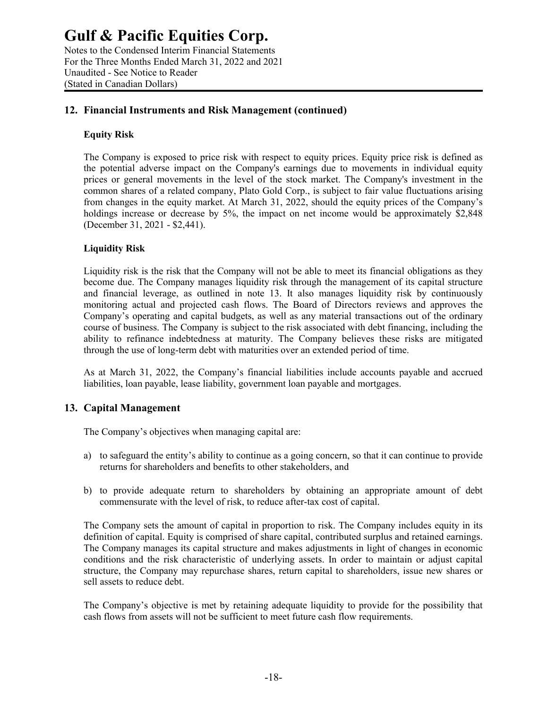Notes to the Condensed Interim Financial Statements For the Three Months Ended March 31, 2022 and 2021 Unaudited - See Notice to Reader (Stated in Canadian Dollars)

### **12. Financial Instruments and Risk Management (continued)**

#### **Equity Risk**

The Company is exposed to price risk with respect to equity prices. Equity price risk is defined as the potential adverse impact on the Company's earnings due to movements in individual equity prices or general movements in the level of the stock market. The Company's investment in the common shares of a related company, Plato Gold Corp., is subject to fair value fluctuations arising from changes in the equity market. At March 31, 2022, should the equity prices of the Company's holdings increase or decrease by 5%, the impact on net income would be approximately \$2,848 (December 31, 2021 - \$2,441).

### **Liquidity Risk**

Liquidity risk is the risk that the Company will not be able to meet its financial obligations as they become due. The Company manages liquidity risk through the management of its capital structure and financial leverage, as outlined in note 13. It also manages liquidity risk by continuously monitoring actual and projected cash flows. The Board of Directors reviews and approves the Company's operating and capital budgets, as well as any material transactions out of the ordinary course of business. The Company is subject to the risk associated with debt financing, including the ability to refinance indebtedness at maturity. The Company believes these risks are mitigated through the use of long-term debt with maturities over an extended period of time.

As at March 31, 2022, the Company's financial liabilities include accounts payable and accrued liabilities, loan payable, lease liability, government loan payable and mortgages.

### **13. Capital Management**

The Company's objectives when managing capital are:

- a) to safeguard the entity's ability to continue as a going concern, so that it can continue to provide returns for shareholders and benefits to other stakeholders, and
- b) to provide adequate return to shareholders by obtaining an appropriate amount of debt commensurate with the level of risk, to reduce after-tax cost of capital.

The Company sets the amount of capital in proportion to risk. The Company includes equity in its definition of capital. Equity is comprised of share capital, contributed surplus and retained earnings. The Company manages its capital structure and makes adjustments in light of changes in economic conditions and the risk characteristic of underlying assets. In order to maintain or adjust capital structure, the Company may repurchase shares, return capital to shareholders, issue new shares or sell assets to reduce debt.

The Company's objective is met by retaining adequate liquidity to provide for the possibility that cash flows from assets will not be sufficient to meet future cash flow requirements.